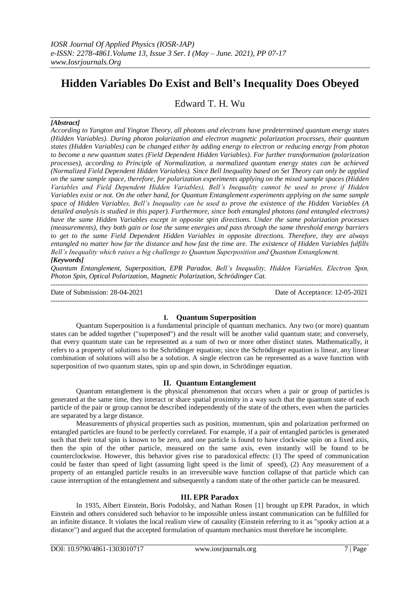# **Hidden Variables Do Exist and Bell's Inequality Does Obeyed**

Edward T. H. Wu

# *[Abstract]*

*According to Yangton and Yington Theory, all photons and electrons have predetermined quantum energy states (Hidden Variables). During photon polarization and electron magnetic polarization processes, their quantum states (Hidden Variables) can be changed either by adding energy to electron or reducing energy from photon to become a new quantum states (Field Dependent Hidden Variables). For further transformation (polarization processes), according to Principle of Normalization, a normalized quantum energy states can be achieved (Normalized Field Dependent Hidden Variables). Since Bell Inequality based on Set Theory can only be applied on the same sample space, therefore, for polarization experiments applying on the mixed sample spaces (Hidden Variables and Field Dependent Hidden Variables), Bell's Inequality cannot be used to prove if Hidden Variables exist or not. On the other hand, for Quantum Entanglement experiments applying on the same sample space of Hidden Variables, Bell's Inequality can be used to prove the existence of the Hidden Variables (A detailed analysis is studied in this paper). Furthermore, since both entangled photons (and entangled electrons) have the same Hidden Variables except in opposite spin directions. Under the same polarization processes (measurements), they both gain or lose the same energies and pass through the same threshold energy barriers to get to the same Field Dependent Hidden Variables in opposite directions. Therefore, they are always entangled no matter how far the distance and how fast the time are. The existence of Hidden Variables fulfills Bell's Inequality which raises a big challenge to Quantum Superposition and Quantum Entanglement. [Keywords]*

*Quantum Entanglement, Superposition, EPR Paradox, Bell's Inequality, Hidden Variables, Electron Spin, Photon Spin, Optical Polarization, Magnetic Polarization, Schrödinger Cat.*

Date of Submission: 28-04-2021 Date of Acceptance: 12-05-2021 ---------------------------------------------------------------------------------------------------------------------------------------

## **I. Quantum Superposition**

Quantum Superposition is a fundamental principle of [quantum mechanics.](https://en.wikipedia.org/wiki/Quantum_mechanics) Any two (or more) [quantum](https://en.wikipedia.org/wiki/Quantum_state)  [states](https://en.wikipedia.org/wiki/Quantum_state) can be added together ("superposed") and the result will be another valid quantum state; and conversely, that every quantum state can be represented as a sum of two or more other distinct states. Mathematically, it refers to a property of [solutions](https://en.wikipedia.org/wiki/Quantum_state) to the [Schrödinger equation;](https://en.wikipedia.org/wiki/Schr%C3%B6dinger_equation) since the Schrödinger equation is [linear,](https://en.wikipedia.org/wiki/Linear) any linear combination of solutions will also be a solution. A single electron can be represented as a wave function with superposition of two quantum states, spin up and spin down, in Schrödinger equation.

# **II. Quantum Entanglement**

Quantum entanglement is the physical phenomenon that occurs when a pair or group of [particles](https://en.wikipedia.org/wiki/Particle) is generated at the same time, they interact or share spatial proximity in a way such that the [quantum state](https://en.wikipedia.org/wiki/Quantum_state) of each particle of the pair or group cannot be described independently of the state of the others, even when the particles are separated by a large distance.

[Measurements](https://en.wikipedia.org/wiki/Measurement#Quantum_mechanics) of [physical properties](https://en.wikipedia.org/wiki/Physical_properties) such as position, [momentum,](https://en.wikipedia.org/wiki/Momentum) [spin](https://en.wikipedia.org/wiki/Spin_(physics)) and polarization performed on entangled particles are found to be perfectly [correlated.](https://en.wikipedia.org/wiki/Correlated) For example, if a pair of entangled particles is generated such that their total spin is known to be zero, and one particle is found to have clockwise spin on a fixed axis, then the spin of the other particle, measured on the same axis, even instantly will be found to be counterclockwise. However, this behavior gives rise to [paradoxical](https://en.wikipedia.org/wiki/Paradox) effects: (1) The speed of communication could be faster than speed of light (assuming light speed is the limit of speed), (2) Any measurement of a property of an entangled particle results in an irreversible [wave function collapse](https://en.wikipedia.org/wiki/Wave_function_collapse) of that particle which can cause interruption of the entanglement and subsequently a random state of the other particle can be measured.

## **III. EPR Paradox**

In 1935, [Albert Einstein,](https://en.wikipedia.org/wiki/Albert_Einstein) [Boris Podolsky,](https://en.wikipedia.org/wiki/Boris_Podolsky) and [Nathan Rosen](https://en.wikipedia.org/wiki/Nathan_Rosen) [1] brought up [EPR Paradox,](https://en.wikipedia.org/wiki/EPR_paradox) in which Einstein and others considered such behavior to be impossible unless instant communication can be fulfilled for an infinite distance. It violates the [local realism](https://en.wikipedia.org/wiki/Local_realism) view of causality (Einstein referring to it as "spooky [action at a](https://en.wikipedia.org/wiki/Action_at_a_distance)  [distance"](https://en.wikipedia.org/wiki/Action_at_a_distance)) and argued that the accepted formulation of [quantum mechanics](https://en.wikipedia.org/wiki/Quantum_mechanics) must therefore be incomplete.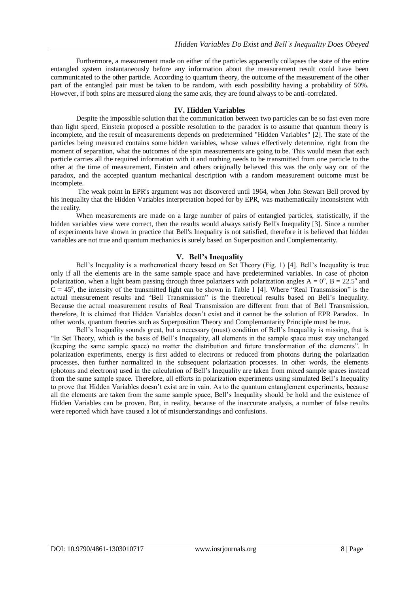Furthermore, a measurement made on either of the particles apparently collapses the state of the entire entangled system instantaneously before any information about the measurement result could have been communicated to the other particle. According to quantum theory, the outcome of the measurement of the other part of the entangled pair must be taken to be random, with each possibility having a probability of 50%. However, if both spins are measured along the same axis, they are found always to be anti-correlated.

#### **IV. Hidden Variables**

Despite the impossible solution that the communication between two particles can be so fast even more than light speed, Einstein proposed a possible resolution to the paradox is to assume that quantum theory is incomplete, and the result of measurements depends on predetermined "Hidden Variables" [2]. The state of the particles being measured contains some [hidden variables,](https://en.wikipedia.org/wiki/Hidden-variable_theory) whose values effectively determine, right from the moment of separation, what the outcomes of the spin measurements are going to be. This would mean that each particle carries all the required information with it and nothing needs to be transmitted from one particle to the other at the time of measurement. Einstein and others originally believed this was the only way out of the paradox, and the accepted quantum mechanical description with a random measurement outcome must be incomplete.

The weak point in EPR's argument was not discovered until 1964, when [John Stewart Bell](https://en.wikipedia.org/wiki/John_Stewart_Bell) proved by his inequality that the Hidden Variables interpretation hoped for by EPR, was mathematically inconsistent with the reality.

When measurements are made on a large number of pairs of entangled particles, statistically, if the hidden variables view were correct, then the results would always satisfy [Bell's Inequality](https://en.wikipedia.org/wiki/Bell%27s_inequality) [3]. Since a [number](https://en.wikipedia.org/wiki/Bell_test_experiments)  [of experiments](https://en.wikipedia.org/wiki/Bell_test_experiments) have shown in practice that Bell's Inequality is not satisfied, therefore it is believed that hidden variables are not true and quantum mechanics is surely based on Superposition and Complementarity.

## **V. Bell's Inequality**

Bell's Inequality is a mathematical theory based on Set Theory (Fig. 1) [4]. Bell's Inequality is true only if all the elements are in the same sample space and have predetermined variables. In case of photon polarization, when a light beam passing through three polarizers with polarization angles  $A = 0^\circ$ ,  $B = 22.5^\circ$  and  $C = 45^\circ$ , the intensity of the transmitted light can be shown in Table 1 [4]. Where "Real Transmission" is the actual measurement results and "Bell Transmission" is the theoretical results based on Bell's Inequality. Because the actual measurement results of Real Transmission are different from that of Bell Transmission, therefore, It is claimed that Hidden Variables doesn't exist and it cannot be the solution of EPR Paradox. In other words, quantum theories such as Superposition Theory and Complemantarity Principle must be true.

Bell's Inequality sounds great, but a necessary (must) condition of Bell's Inequality is missing, that is "In Set Theory, which is the basis of Bell's Inequality, all elements in the sample space must stay unchanged (keeping the same sample space) no matter the distribution and future transformation of the elements". In polarization experiments, energy is first added to electrons or reduced from photons during the polarization processes, then further normalized in the subsequent polarization processes. In other words, the elements (photons and electrons) used in the calculation of Bell's Inequality are taken from mixed sample spaces instead from the same sample space. Therefore, all efforts in polarization experiments using simulated Bell's Inequality to prove that Hidden Variables doesn't exist are in vain. As to the quantum entanglement experiments, because all the elements are taken from the same sample space, Bell's Inequality should be hold and the existence of Hidden Variables can be proven. But, in reality, because of the inaccurate analysis, a number of false results were reported which have caused a lot of misunderstandings and confusions.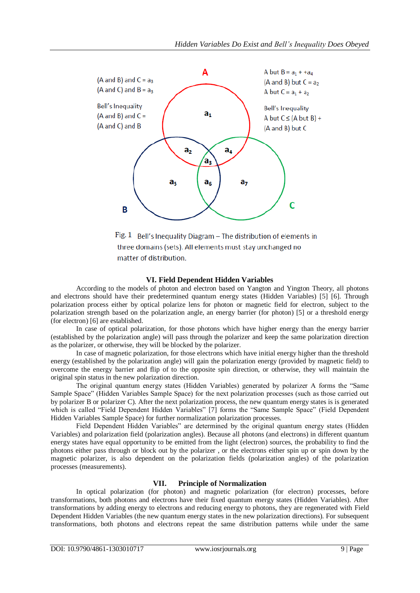

Fig. 1 Bell's Inequality Diagram  $-$  The distribution of elements in three domains (sets). All elements must stay unchanged no matter of distribution.

## **VI. Field Dependent Hidden Variables**

According to the models of photon and electron based on Yangton and Yington Theory, all photons and electrons should have their predetermined quantum energy states (Hidden Variables) [5] [6]. Through polarization process either by optical polarize lens for photon or magnetic field for electron, subject to the polarization strength based on the polarization angle, an energy barrier (for photon) [5] or a threshold energy (for electron) [6] are established.

In case of optical polarization, for those photons which have higher energy than the energy barrier (established by the polarization angle) will pass through the polarizer and keep the same polarization direction as the polarizer, or otherwise, they will be blocked by the polarizer.

In case of magnetic polarization, for those electrons which have initial energy higher than the threshold energy (established by the polarization angle) will gain the polarization energy (provided by magnetic field) to overcome the energy barrier and flip of to the opposite spin direction, or otherwise, they will maintain the original spin status in the new polarization direction.

The original quantum energy states (Hidden Variables) generated by polarizer A forms the "Same Sample Space" (Hidden Variables Sample Space) for the next polarization processes (such as those carried out by polarizer B or polarizer C). After the next polarization process, the new quantum energy states is is generated which is called "Field Dependent Hidden Variables" [7] forms the "Same Sample Space" (Field Dependent Hidden Variables Sample Space) for further normalization polarization processes.

Field Dependent Hidden Variables" are determined by the original quantum energy states (Hidden Variables) and polarization field (polarization angles). Because all photons (and electrons) in different quantum energy states have equal opportunity to be emitted from the light (electron) sources, the probability to find the photons either pass through or block out by the polarizer , or the electrons either spin up or spin down by the magnetic polarizer, is also dependent on the polarization fields (polarization angles) of the polarization processes (measurements).

# **VII. Principle of Normalization**

In optical polarization (for photon) and magnetic polarization (for electron) processes, before transformations, both photons and electrons have their fixed quantum energy states (Hidden Variables). After transformations by adding energy to electrons and reducing energy to photons, they are regenerated with Field Dependent Hidden Variables (the new quantum energy states in the new polarization directions). For subsequent transformations, both photons and electrons repeat the same distribution patterns while under the same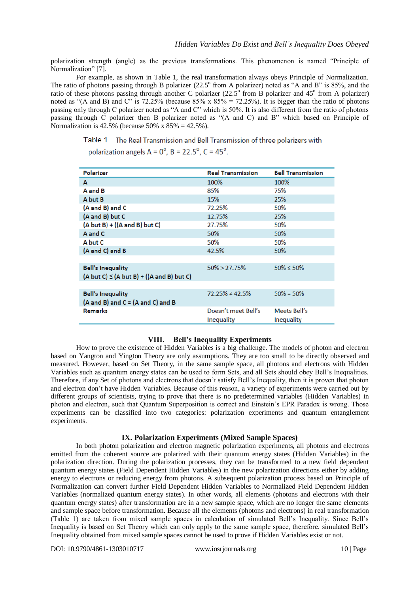polarization strength (angle) as the previous transformations. This phenomenon is named "Principle of Normalization" [7].

For example, as shown in Table 1, the real transformation always obeys Principle of Normalization. The ratio of photons passing through B polarizer  $(22.5^{\circ}$  from A polarizer) noted as "A and B" is 85%, and the ratio of these photons passing through another C polarizer  $(22.5^{\circ}$  from B polarizer and 45° from A polarizer) noted as "(A and B) and C" is 72.25% (because  $85\%$  x  $85\% = 72.25\%$ ). It is bigger than the ratio of photons passing only through C polarizer noted as "A and C" which is 50%. It is also different from the ratio of photons passing through C polarizer then B polarizer noted as "(A and C) and B" which based on Principle of Normalization is 42.5% (because 50% x  $85% = 42.5%$ ).

Table 1 The Real Transmission and Bell Transmission of three polarizers with

polarization angels  $A = 0^\circ$ ,  $B = 22.5^\circ$ ,  $C = 45^\circ$ .

| Polarizer                                               | <b>Real Transmission</b> | <b>Bell Transmission</b> |
|---------------------------------------------------------|--------------------------|--------------------------|
| A                                                       | 100%                     | 100%                     |
| A and B                                                 | 85%                      | 75%                      |
| A but B                                                 | 15%                      | 25%                      |
| (A and B) and C                                         | 72.25%                   | 50%                      |
| (A and B) but C                                         | 12.75%                   | 25%                      |
| $(A but B) + ((A and B) but C)$                         | 27.75%                   | 50%                      |
| A and C                                                 | 50%                      | 50%                      |
| A but C                                                 | 50%                      | 50%                      |
| (A and C) and B                                         | 42.5%                    | 50%                      |
|                                                         |                          |                          |
| <b>Bell's Inequality</b>                                | $50\% > 27.75\%$         | $50\% \le 50\%$          |
| $(A but C) \leq (A but B) + ((A and B) but C)$          |                          |                          |
|                                                         |                          |                          |
| <b>Bell's Inequality</b>                                | $72.25\% \neq 42.5\%$    | $50\% = 50\%$            |
| $(A \text{ and } B)$ and $C = (A \text{ and } C)$ and B |                          |                          |
| <b>Remarks</b>                                          | Doesn't meet Bell's      | Meets Bell's             |
|                                                         | Inequality               | Inequality               |

# **VIII. Bell's Inequality Experiments**

How to prove the existence of Hidden Variables is a big challenge. The models of photon and electron based on Yangton and Yington Theory are only assumptions. They are too small to be directly observed and measured. However, based on Set Theory, in the same sample space, all photons and electrons with Hidden Variables such as quantum energy states can be used to form Sets, and all Sets should obey Bell's Inequalities. Therefore, if any Set of photons and electrons that doesn't satisfy Bell's Inequality, then it is proven that photon and electron don't have Hidden Variables. Because of this reason, a variety of experiments were carried out by different groups of scientists, trying to prove that there is no predetermined variables (Hidden Variables) in photon and electron, such that Quantum Superposition is correct and Einstein's EPR Paradox is wrong. Those experiments can be classified into two categories: polarization experiments and quantum entanglement experiments.

# **IX. Polarization Experiments (Mixed Sample Spaces)**

In both photon polarization and electron magnetic polarization experiments, all photons and electrons emitted from the coherent source are polarized with their quantum energy states (Hidden Variables) in the polarization direction. During the polarization processes, they can be transformed to a new field dependent quantum energy states (Field Dependent Hidden Variables) in the new polarization directions either by adding energy to electrons or reducing energy from photons. A subsequent polarization process based on Principle of Normalization can convert further Field Dependent Hidden Variables to Normalized Field Dependent Hidden Variables (normalized quantum energy states). In other words, all elements (photons and electrons with their quantum energy states) after transformation are in a new sample space, which are no longer the same elements and sample space before transformation. Because all the elements (photons and electrons) in real transformation (Table 1) are taken from mixed sample spaces in calculation of simulated Bell's Inequality. Since Bell's Inequality is based on Set Theory which can only apply to the same sample space, therefore, simulated Bell's Inequality obtained from mixed sample spaces cannot be used to prove if Hidden Variables exist or not.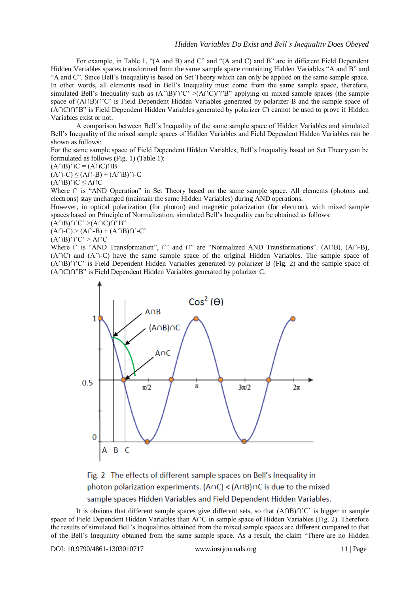For example, in Table 1, "(A and B) and C" and "(A and C) and B" are in different Field Dependent Hidden Variables spaces transformed from the same sample space containing Hidden Variables "A and B" and "A and C". Since Bell's Inequality is based on Set Theory which can only be applied on the same sample space. In other words, all elements used in Bell's Inequality must come from the same sample space, therefore, simulated Bell's Inequality such as  $(A \cap B) \cap 'C' > (A \cap C) \cap 'B"$  applying on mixed sample spaces (the sample space of (A∩B)∩'C' is Field Dependent Hidden Variables generated by polarizer B and the sample space of (A∩C)∩"B" is Field Dependent Hidden Variables generated by polarizer C) cannot be used to prove if Hidden Variables exist or not.

A comparison between Bell's Inequality of the same sample space of Hidden Variables and simulated Bell's Inequality of the mixed sample spaces of Hidden Variables and Field Dependent Hidden Variables can be shown as follows:

For the same sample space of Field Dependent Hidden Variables, Bell's Inequality based on Set Theory can be formulated as follows (Fig. 1) (Table 1):

 $(A \cap B) \cap C = (A \cap C) \cap B$ 

 $(A \cap C) \leq (A \cap B) + (A \cap B) \cap C$ 

(A∩B)∩C ≤ A∩C

Where ∩ is "AND Operation" in Set Theory based on the same sample space. All elements (photons and electrons) stay unchanged (maintain the same Hidden Variables) during AND operations.

However, in optical polarization (for photon) and magnetic polarization (for electron), with mixed sample spaces based on Principle of Normalization, simulated Bell's Inequality can be obtained as follows:

 $(A \cap B) \cap C' > (A \cap C) \cap B''$  $(A \cap C)$  >  $(A \cap B)$  +  $(A \cap B)$  $\cap$   $\lnot$  C'

 $(A \cap B) \cap C' > A \cap C$ 

Where ∩ is "AND Transformation", ∩' and ∩" are "Normalized AND Transformations". (A∩B), (A∩-B), (A∩C) and (A∩-C) have the same sample space of the original Hidden Variables. The sample space of (A∩B)∩'C' is Field Dependent Hidden Variables generated by polarizer B (Fig. 2) and the sample space of (A∩C)∩"B" is Field Dependent Hidden Variables generated by polarizer C.



Fig. 2 The effects of different sample spaces on Bell's Inequality in photon polarization experiments. (AnC) < (AnB)nC is due to the mixed sample spaces Hidden Variables and Field Dependent Hidden Variables.

It is obvious that different sample spaces give different sets, so that (A∩B)∩'C' is bigger in sample space of Field Dependent Hidden Variables than A∩C in sample space of Hidden Variables (Fig. 2). Therefore the results of simulated Bell's Inequalities obtained from the mixed sample spaces are different compared to that of the Bell's Inequality obtained from the same sample space. As a result, the claim "There are no Hidden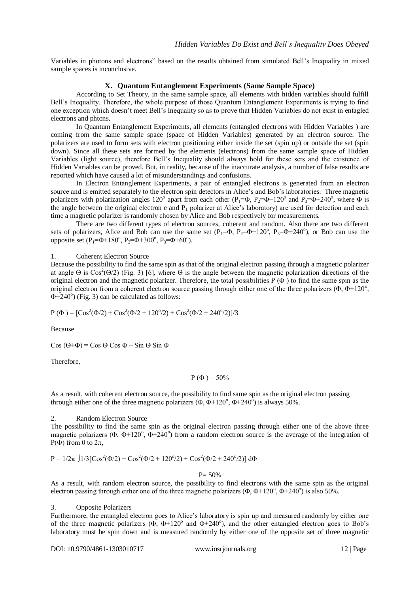Variables in photons and electrons" based on the results obtained from simulated Bell's Inequality in mixed sample spaces is inconclusive.

## **X. Quantum Entanglement Experiments (Same Sample Space)**

According to Set Theory, in the same sample space, all elements with hidden variables should fulfill Bell's Inequality. Therefore, the whole purpose of those Quantum Entanglement Experiments is trying to find one exception which doesn't meet Bell's Inequality so as to prove that Hidden Variables do not exist in entagled electrons and phtons.

In Quantum Entanglement Experiments, all elements (entangled electrons with Hidden Variables ) are coming from the same sample space (space of Hidden Variables) generated by an electron source. The polarizers are used to form sets with electron positioning either inside the set (spin up) or outside the set (spin down). Since all these sets are formed by the elements (electrons) from the same sample space of Hidden Variables (light source), therefore Bell's Inequality should always hold for these sets and the existence of Hidden Variables can be proved. But, in reality, because of the inaccurate analysis, a number of false results are reported which have caused a lot of misunderstandings and confusions.

In Electron Entanglement Experiments, a pair of entangled electrons is generated from an electron source and is emitted separately to the electron spin detectors in Alice's and Bob's laboratories. Three magnetic polarizers with polarization angles 120<sup>°</sup> apart from each other (P<sub>1</sub>= $\Phi$ , P<sub>2</sub>= $\Phi$ +120<sup>°</sup> and P<sub>3</sub>= $\Phi$ +240<sup>°</sup>, where  $\Phi$  is the angle between the original electron e and  $P_1$  polarizer at Alice's laboratory) are used for detection and each time a magnetic polarizer is randomly chosen by Alice and Bob respectively for measurements.

There are two different types of electron sources, coherent and random. Also there are two different sets of polarizers, Alice and Bob can use the same set  $(P_1= \Phi, P_2= \Phi+120^\circ, P_3= \Phi+240^\circ)$ , or Bob can use the opposite set  $(P_1 = \Phi + 180^\circ, P_2 = \Phi + 300^\circ, P_3 = \Phi + 60^\circ)$ .

## 1. Coherent Electron Source

Because the possibility to find the same spin as that of the original electron passing through a magnetic polarizer at angle  $\Theta$  is  $\cos^2(\Theta/2)$  (Fig. 3) [6], where  $\Theta$  is the angle between the magnetic polarization directions of the original electron and the magnetic polarizer. Therefore, the total possibilities P (Φ ) to find the same spin as the original electron from a coherent electron source passing through either one of the three polarizers ( $\Phi$ ,  $\Phi$ +120°,  $\Phi + 240^\circ$ ) (Fig. 3) can be calculated as follows:

 $P(\Phi) = [Cos^2(\Phi/2) + Cos^2(\Phi/2 + 120^{\circ}/2) + Cos^2(\Phi/2 + 240^{\circ}/2)]/3$ 

Because

Cos ( $\Theta$ + $\Phi$ ) = Cos  $\Theta$  Cos  $\Phi$  – Sin  $\Theta$  Sin  $\Phi$ 

Therefore,

$$
P(\Phi) = 50\%
$$

As a result, with coherent electron source, the possibility to find same spin as the original electron passing through either one of the three magnetic polarizers  $(\Phi, \Phi+120^\circ, \Phi+240^\circ)$  is always 50%.

## 2. Random Electron Source

The possibility to find the same spin as the original electron passing through either one of the above three magnetic polarizers ( $\Phi$ ,  $\Phi$ +120°,  $\Phi$ +240°) from a random electron source is the average of the integration of P( $\Phi$ ) from 0 to  $2\pi$ ,

 $P = 1/2\pi \int 1/3 [Cos^2(\Phi/2) + Cos^2(\Phi/2 + 120^{\circ}/2) + Cos^2(\Phi/2 + 240^{\circ}/2)] d\Phi$ 

## $P = 50%$

As a result, with random electron source, the possibility to find electrons with the same spin as the original electron passing through either one of the three magnetic polarizers  $(\Phi, \Phi+120^\circ, \Phi+240^\circ)$  is also 50%.

## 3. Opposite Polarizers

Furthermore, the entangled electron goes to Alice's laboratory is spin up and measured randomly by either one of the three magnetic polarizers  $(\Phi, \Phi + 120^{\circ})$  and  $\Phi + 240^{\circ}$ ), and the other entangled electron goes to Bob's laboratory must be spin down and is measured randomly by either one of the opposite set of three magnetic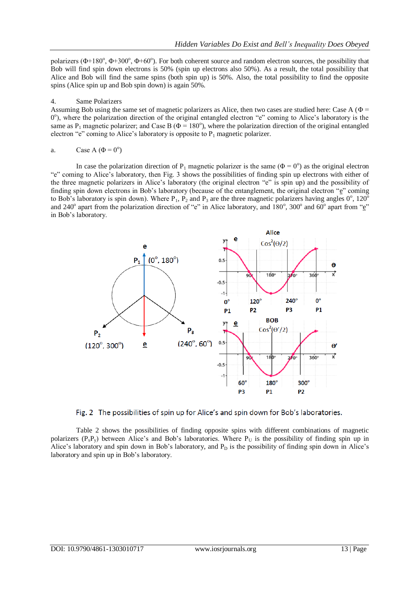polarizers ( $\Phi$ +180°,  $\Phi$ +300°,  $\Phi$ +60°). For both coherent source and random electron sources, the possibility that Bob will find spin down electrons is 50% (spin up electrons also 50%). As a result, the total possibility that Alice and Bob will find the same spins (both spin up) is 50%. Also, the total possibility to find the opposite spins (Alice spin up and Bob spin down) is again 50%.

## 4. Same Polarizers

Assuming Bob using the same set of magnetic polarizers as Alice, then two cases are studied here: Case A (Φ = 0°), where the polarization direction of the original entangled electron "e" coming to Alice's laboratory is the same as  $P_1$  magnetic polarizer; and Case B ( $\Phi$  = 180°), where the polarization direction of the original entangled electron "e" coming to Alice's laboratory is opposite to  $P_1$  magnetic polarizer.

a. Case A (
$$
\Phi = 0^{\circ}
$$
)

In case the polarization direction of  $P_1$  magnetic polarizer is the same ( $\Phi = 0^\circ$ ) as the original electron "e" coming to Alice's laboratory, then Fig. 3 shows the possibilities of finding spin up electrons with either of the three magnetic polarizers in Alice's laboratory (the original electron "e" is spin up) and the possibility of finding spin down electrons in Bob's laboratory (because of the entanglement, the original electron "e" coming to Bob's laboratory is spin down). Where  $P_1$ ,  $P_2$  and  $P_3$  are the three magnetic polarizers having angles  $0^\circ$ , 120<sup>o</sup> and 240° apart from the polarization direction of "e" in Alice laboratory, and 180°, 300° and 60° apart from "e" in Bob's laboratory.



Fig. 2 The possibilities of spin up for Alice's and spin down for Bob's laboratories.

Table 2 shows the possibilities of finding opposite spins with different combinations of magnetic polarizers ( $P_xP_y$ ) between Alice's and Bob's laboratories. Where  $P_y$  is the possibility of finding spin up in Alice's laboratory and spin down in Bob's laboratory, and  $P<sub>D</sub>$  is the possibility of finding spin down in Alice's laboratory and spin up in Bob's laboratory.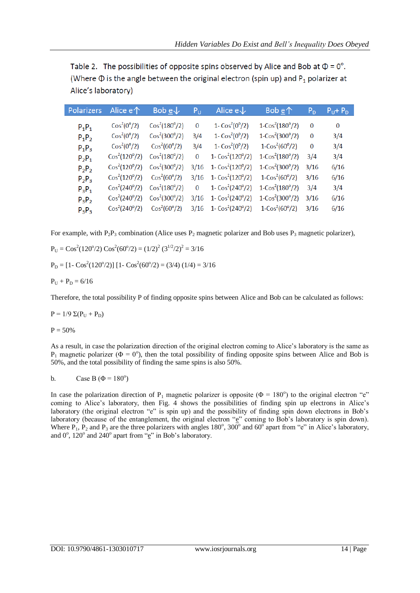Table 2. The possibilities of opposite spins observed by Alice and Bob at  $\Phi = 0^{\circ}$ . (Where  $\Phi$  is the angle between the original electron (spin up) and  $P_1$  polarizer at Alice's laboratory)

| Polarizers | Alice $e \uparrow$                   | Bob $e\sqrt{}$          | ${\sf P}_{\sf U}$ | Alice $e \downarrow$      | Bob $\underline{e}\uparrow$ | $P_D$ | $P_U + P_D$ |
|------------|--------------------------------------|-------------------------|-------------------|---------------------------|-----------------------------|-------|-------------|
| $P_1P_1$   | Cos <sup>2</sup> (0 <sup>o</sup> /2) | $Cos^2(180^{\circ}/2)$  | 0                 | 1- $Cos^2(0^{\circ}/2)$   | $1-Cos2(180°/2)$            | 0     | $\bf{0}$    |
| $P_1P_2$   | Cos <sup>2</sup> (0 <sup>o</sup> /2) | $Cos^2(300^{\circ}/2)$  | 3/4               | 1- $\cos^2(0^{\circ}/2)$  | $1-Cos2(300°/2)$            | 0     | 3/4         |
| $P_1P_3$   | $Cos^2(0^{\circ}/2)$                 | $\cos^2(60^\circ/2)$    | 3/4               | 1- $\cos^2(0^{\circ}/2)$  | $1-Cos2(60°/2)$             | 0     | 3/4         |
| $P_2P_1$   | $Cos^2(120^{\circ}/2)$               | $\cos^2(180^\circ/2)$   | $\Omega$          | $1 - \cos^2(120^\circ/2)$ | $1-Cos2(180°/2)$            | 3/4   | 3/4         |
| $P_2P_2$   | $Cos^2(120^{\circ}/2)$               | $Cos^2(300^{\circ}/2)$  | 3/16              | $1 - \cos^2(120^\circ/2)$ | $1-Cos2(300°/2)$            | 3/16  | 6/16        |
| $P_2P_3$   | $Cos^2(120^{\circ}/2)$               | $Cos^2(60^{\circ}/2)$   | 3/16              | 1- $Cos^2(120^{\circ}/2)$ | $1-Cos2(60°/2)$             | 3/16  | 6/16        |
| $P_3P_1$   | $Cos^2(240^{\circ}/2)$               | $\cos^2(180^\circ/2)$   | $\Omega$          | $1 - \cos^2(240^\circ/2)$ | $1-Cos2(180°/2)$            | 3/4   | 3/4         |
| $P_3P_2$   | $Cos^2(240^{\circ}/2)$               | $\cos^2(300^{\circ}/2)$ | 3/16              | 1- $\cos^2(240^\circ/2)$  | $1-Cos2(300°/2)$            | 3/16  | 6/16        |
| $P_3P_3$   | $Cos^2(240^{\circ}/2)$               | $Cos^2(60^{\circ}/2)$   | 3/16              | $1 - \cos^2(240^\circ/2)$ | $1-Cos2(60°/2)$             | 3/16  | 6/16        |

For example, with  $P_2P_3$  combination (Alice uses  $P_2$  magnetic polarizer and Bob uses  $P_3$  magnetic polarizer),

 $P_U = Cos^2(120^{\circ}/2) Cos^2(60^{\circ}/2) = (1/2)^2 (3^{1/2}/2)^2 = 3/16$  $P_D = [1 - \cos^2(120^\circ/2)] [1 - \cos^2(60^\circ/2) = (3/4) (1/4) = 3/16$  $P_{U} + P_{D} = 6/16$ 

Therefore, the total possibility P of finding opposite spins between Alice and Bob can be calculated as follows:

 $P = 1/9 \Sigma (P_{\text{U}} + P_{\text{D}})$ 

 $P = 50%$ 

As a result, in case the polarization direction of the original electron coming to Alice's laboratory is the same as  $P_1$  magnetic polarizer ( $\Phi = 0^\circ$ ), then the total possibility of finding opposite spins between Alice and Bob is 50%, and the total possibility of finding the same spins is also 50%.

$$
b. \qquad \text{Case B } (\Phi = 180^{\circ})
$$

In case the polarization direction of  $P_1$  magnetic polarizer is opposite ( $\Phi = 180^\circ$ ) to the original electron "e" coming to Alice's laboratory, then Fig. 4 shows the possibilities of finding spin up electrons in Alice's laboratory (the original electron "e" is spin up) and the possibility of finding spin down electrons in Bob's laboratory (because of the entanglement, the original electron " $\underline{e}$ " coming to Bob's laboratory is spin down). Where  $P_1$ ,  $P_2$  and  $P_3$  are the three polarizers with angles 180°, 300° and 60° apart from "e" in Alice's laboratory, and  $0^\circ$ , 120 $^\circ$  and 240 $^\circ$  apart from " $\underline{e}$ " in Bob's laboratory.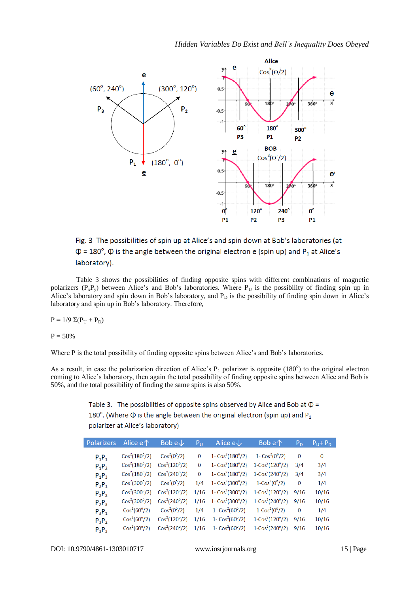

Fig. 3 The possibilities of spin up at Alice's and spin down at Bob's laboratories (at  $\Phi$  = 180°,  $\Phi$  is the angle between the original electron e (spin up) and P<sub>1</sub> at Alice's laboratory).

Table 3 shows the possibilities of finding opposite spins with different combinations of magnetic polarizers  $(P_xP_y)$  between Alice's and Bob's laboratories. Where  $P_y$  is the possibility of finding spin up in Alice's laboratory and spin down in Bob's laboratory, and  $P_D$  is the possibility of finding spin down in Alice's laboratory and spin up in Bob's laboratory. Therefore,

 $P = 1/9 \Sigma (P_{\text{U}} + P_{\text{D}})$ 

 $P = 50%$ 

Where P is the total possibility of finding opposite spins between Alice's and Bob's laboratories.

As a result, in case the polarization direction of Alice's  $P_1$  polarizer is opposite (180°) to the original electron coming to Alice's laboratory, then again the total possibility of finding opposite spins between Alice and Bob is 50%, and the total possibility of finding the same spins is also 50%.

> Table 3. The possibilities of opposite spins observed by Alice and Bob at  $\Phi$  = 180°. (Where  $\Phi$  is the angle between the original electron (spin up) and  $P_1$ polarizer at Alice's laboratory)

| <b>Polarizers</b> | Alice $e \, \uparrow$   | Bob $\underline{e}\downarrow$ | Pu       | Alice $e \downarrow$      | Bob $e^{\wedge}$         | $\mathsf{P}_\mathsf{D}$ | $P_U + P_D$    |
|-------------------|-------------------------|-------------------------------|----------|---------------------------|--------------------------|-------------------------|----------------|
| $P_1P_1$          | $\cos^2(180^\circ/2)$   | $\cos^2(0^{\circ}/2)$         | $\Omega$ | $1 - \cos^2(180^\circ/2)$ | 1- $\cos^2(0^{\circ}/2)$ | $\Omega$                | $\overline{0}$ |
| $P_1P_2$          | $\cos^2(180^\circ/2)$   | $Cos^2(120^{\circ}/2)$        | $\bf{0}$ | $1 - \cos^2(180^\circ/2)$ | $1-Cos2(120o/2)$         | 3/4                     | 3/4            |
| $P_1P_3$          | $\cos^2(180^\circ/2)$   | $Cos^2(240^{\circ}/2)$        | $\Omega$ | $1 - \cos^2(180^\circ/2)$ | $1-Cos2(240°/2)$         | 3/4                     | 3/4            |
| $P_2P_1$          | $Cos^2(300^{\circ}/2)$  | Cos <sup>2</sup> (0°/2)       | 1/4      | $1 - \cos^2(300^\circ/2)$ | $1-Cos2(0o/2)$           | $\bf{0}$                | 1/4            |
| $P_2P_2$          | $\cos^2(300^{\circ}/2)$ | $Cos^2(120^{\circ}/2)$        | 1/16     | 1- $\cos^2(300^\circ/2)$  | $1-Cos2(120o/2)$         | 9/16                    | 10/16          |
| $P_2P_3$          | $Cos^2(300^{\circ}/2)$  | $Cos^2(240^{\circ}/2)$        | 1/16     | 1- $Cos^2(300^{\circ}/2)$ | $1-Cos2(240°/2)$         | 9/16                    | 10/16          |
| $P_3P_1$          | $\cos^2(60^\circ/2)$    | $Cos^2(0^{\circ}/2)$          | 1/4      | 1- $\cos^2(60^\circ/2)$   | $1-Cos2(0o/2)$           | $\bf{0}$                | 1/4            |
| $P_3P_2$          | $Cos^2(60^{\circ}/2)$   | $Cos^2(120^{\circ}/2)$        | 1/16     | 1- $\cos^2(60^\circ/2)$   | $1-Cos2(120°/2)$         | 9/16                    | 10/16          |
| $P_3P_3$          | $Cos^2(60^{\circ}/2)$   | $Cos^2(240^{\circ}/2)$        | 1/16     | $1 - \cos^2(60^\circ/2)$  | $1-Cos2(240°/2)$         | 9/16                    | 10/16          |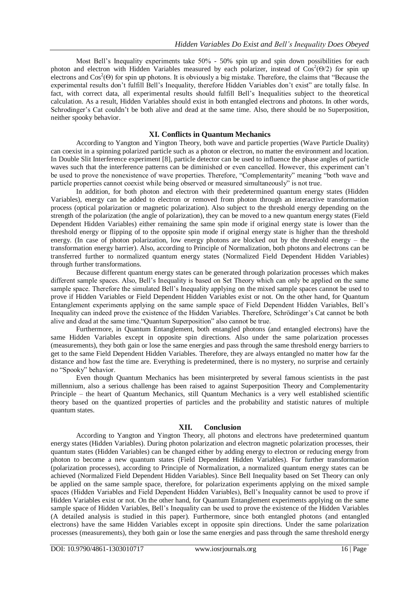Most Bell's Inequality experiments take 50% - 50% spin up and spin down possibilities for each photon and electron with Hidden Variables measured by each polarizer, instead of  $\cos^2(\Theta/2)$  for spin up electrons and  $\cos^2(\Theta)$  for spin up photons. It is obviously a big mistake. Therefore, the claims that "Because the experimental results don't fulfill Bell's Inequality, therefore Hidden Variables don't exist" are totally false. In fact, with correct data, all experimental results should fulfill Bell's Inequalities subject to the theoretical calculation. As a result, Hidden Variables should exist in both entangled electrons and photons. In other words, Schrodinger's Cat couldn't be both alive and dead at the same time. Also, there should be no Superposition, neither spooky behavior.

# **XI. Conflicts in Quantum Mechanics**

According to Yangton and Yington Theory, both wave and particle properties (Wave Particle Duality) can coexist in a spinning polarized particle such as a photon or electron, no matter the environment and location. In Double Slit Interference experiment [8], particle detector can be used to influence the phase angles of particle waves such that the interference patterns can be diminished or even cancelled. However, this experiment can't be used to prove the nonexistence of wave properties. Therefore, "Complementarity" meaning "both wave and particle properties cannot coexist while being observed or measured simultaneously" is not true.

In addition, for both photon and electron with their predetermined quantum energy states (Hidden Variables), energy can be added to electron or removed from photon through an interactive transformation process (optical polarization or magnetic polarization). Also subject to the threshold energy depending on the strength of the polarization (the angle of polarization), they can be moved to a new quantum energy states (Field Dependent Hidden Variables) either remaining the same spin mode if original energy state is lower than the threshold energy or flipping of to the opposite spin mode if original energy state is higher than the threshold energy. (In case of photon polarization, low energy photons are blocked out by the threshold energy – the transformation energy barrier). Also, according to Principle of Normalization, both photons and electrons can be transferred further to normalized quantum energy states (Normalized Field Dependent Hidden Variables) through further transformations.

Because different quantum energy states can be generated through polarization processes which makes different sample spaces. Also, Bell's Inequality is based on Set Theory which can only be applied on the same sample space. Therefore the simulated Bell's Inequality applying on the mixed sample spaces cannot be used to prove if Hidden Variables or Field Dependent Hidden Variables exist or not. On the other hand, for Quantum Entanglement experiments applying on the same sample space of Field Dependent Hidden Variables, Bell's Inequality can indeed prove the existence of the Hidden Variables. Therefore, Schrödinger's Cat cannot be both alive and dead at the same time."Quantum Superposition" also cannot be true.

Furthermore, in Quantum Entanglement, both entangled photons (and entangled electrons) have the same Hidden Variables except in opposite spin directions. Also under the same polarization processes (measurements), they both gain or lose the same energies and pass through the same threshold energy barriers to get to the same Field Dependent Hidden Variables. Therefore, they are always entangled no matter how far the distance and how fast the time are. Everything is predetermined, there is no mystery, no surprise and certainly no "Spooky" behavior.

Even though Quantum Mechanics has been misinterpreted by several famous scientists in the past millennium, also a serious challenge has been raised to against Superposition Theory and Complementarity Principle – the heart of Quantum Mechanics, still Quantum Mechanics is a very well established scientific theory based on the quantized properties of particles and the probability and statistic natures of multiple quantum states.

## **XII. Conclusion**

According to Yangton and Yington Theory, all photons and electrons have predetermined quantum energy states (Hidden Variables). During photon polarization and electron magnetic polarization processes, their quantum states (Hidden Variables) can be changed either by adding energy to electron or reducing energy from photon to become a new quantum states (Field Dependent Hidden Variables). For further transformation (polarization processes), according to Principle of Normalization, a normalized quantum energy states can be achieved (Normalized Field Dependent Hidden Variables). Since Bell Inequality based on Set Theory can only be applied on the same sample space, therefore, for polarization experiments applying on the mixed sample spaces (Hidden Variables and Field Dependent Hidden Variables), Bell's Inequality cannot be used to prove if Hidden Variables exist or not. On the other hand, for Quantum Entanglement experiments applying on the same sample space of Hidden Variables, Bell's Inequality can be used to prove the existence of the Hidden Variables (A detailed analysis is studied in this paper). Furthermore, since both entangled photons (and entangled electrons) have the same Hidden Variables except in opposite spin directions. Under the same polarization processes (measurements), they both gain or lose the same energies and pass through the same threshold energy